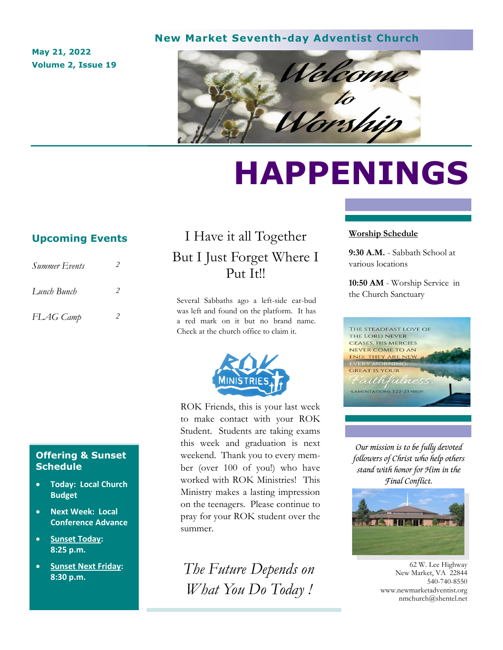#### **New Market Seventh-day Adventist Church**

**May 21, 2022 Volume 2, Issue 19**



# **HAPPENINGS**

## **Upcoming Events**

| Summer Events |   |
|---------------|---|
| Lunch Bunch   | 2 |
| FLAG Camp     |   |

# I Have it all Together But I Just Forget Where I Put It!!

Several Sabbaths ago a left-side ear-bud was left and found on the platform. It has a red mark on it but no brand name. Check at the church office to claim it.



ROK Friends, this is your last week to make contact with your ROK Student. Students are taking exams this week and graduation is next weekend. Thank you to every member (over 100 of you!) who have worked with ROK Ministries! This Ministry makes a lasting impression on the teenagers. Please continue to pray for your ROK student over the summer.

*The Future Depends on What You Do Today !*

#### **Worship Schedule**

**9:30 A.M.** - Sabbath School at various locations

**10:50 AM** - Worship Service in the Church Sanctuary



*Our mission is to be fully devoted followers of Christ who help others stand with honor for Him in the Final Conflict.*



62 W. Lee Highway New Market, VA 22844 540-740-8550 www.newmarketadventist.org nmchurch@shentel.net

### **Offering & Sunset Schedule**

- **Today: Local Church Budget**
- **Next Week: Local Conference Advance**
- **Sunset Today: 8:25 p.m.**
- **Sunset Next Friday: 8:30 p.m.**